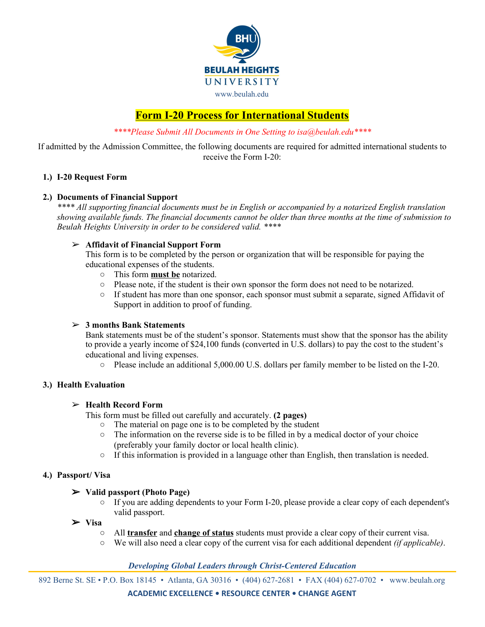

# **Form I-20 Process for International Students**

*\*\*\*\*Please Submit All Documents in One Setting to isa@beulah.edu\*\*\*\**

If admitted by the Admission Committee, the following documents are required for admitted international students to receive the Form I-20:

## **1.) I-20 Request Form**

#### **2.) Documents of Financial Support**

*\*\*\*\* All supporting financial documents must be in English or accompanied by a notarized English translation* showing available funds. The financial documents cannot be older than three months at the time of submission to *Beulah Heights University in order to be considered valid. \*\*\*\**

## ➢ **Affidavit of Financial Support Form**

This form is to be completed by the person or organization that will be responsible for paying the educational expenses of the students.

- This form **must be** notarized.
- Please note, if the student is their own sponsor the form does not need to be notarized.
- If student has more than one sponsor, each sponsor must submit a separate, signed Affidavit of Support in addition to proof of funding.

## ➢ **3 months Bank Statements**

Bank statements must be of the student's sponsor. Statements must show that the sponsor has the ability to provide a yearly income of \$24,100 funds (converted in U.S. dollars) to pay the cost to the student's educational and living expenses.

○ Please include an additional 5,000.00 U.S. dollars per family member to be listed on the I-20.

# **3.) Health Evaluation**

# ➢ **Health Record Form**

This form must be filled out carefully and accurately. **(2 pages)**

- The material on page one is to be completed by the student
- $\circ$  The information on the reverse side is to be filled in by a medical doctor of your choice (preferably your family doctor or local health clinic).
- $\circ$  If this information is provided in a language other than English, then translation is needed.

#### **4.) Passport/ Visa**

#### ➢ **Valid passport (Photo Page)**

**○** If you are adding dependents to your Form I-20, please provide a clear copy of each dependent's valid passport.

#### ➢ **Visa**

- **○** All **transfer** and **change of status** students must provide a clear copy of their current visa.
- **○** We will also need a clear copy of the current visa for each additional dependent *(if applicable)*.

# *Developing Global Leaders through Christ-Centered Education*

892 Berne St. SE • P.O. Box 18145 • Atlanta, GA 30316 • (404) 627-2681 • FAX (404) 627-0702 • www.beulah.org